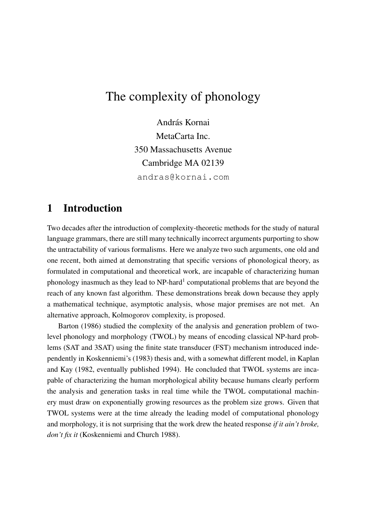# The complexity of phonology

András Kornai MetaCarta Inc. 350 Massachusetts Avenue Cambridge MA 02139 andras@kornai.com

## 1 Introduction

Two decades after the introduction of complexity-theoretic methods for the study of natural language grammars, there are still many technically incorrect arguments purporting to show the untractability of various formalisms. Here we analyze two such arguments, one old and one recent, both aimed at demonstrating that specific versions of phonological theory, as formulated in computational and theoretical work, are incapable of characterizing human phonology inasmuch as they lead to NP-hard<sup>1</sup> computational problems that are beyond the reach of any known fast algorithm. These demonstrations break down because they apply a mathematical technique, asymptotic analysis, whose major premises are not met. An alternative approach, Kolmogorov complexity, is proposed.

Barton (1986) studied the complexity of the analysis and generation problem of twolevel phonology and morphology (TWOL) by means of encoding classical NP-hard problems (SAT and 3SAT) using the finite state transducer (FST) mechanism introduced independently in Koskenniemi's (1983) thesis and, with a somewhat different model, in Kaplan and Kay (1982, eventually published 1994). He concluded that TWOL systems are incapable of characterizing the human morphological ability because humans clearly perform the analysis and generation tasks in real time while the TWOL computational machinery must draw on exponentially growing resources as the problem size grows. Given that TWOL systems were at the time already the leading model of computational phonology and morphology, it is not surprising that the work drew the heated response *if it ain't broke, don't fix it* (Koskenniemi and Church 1988).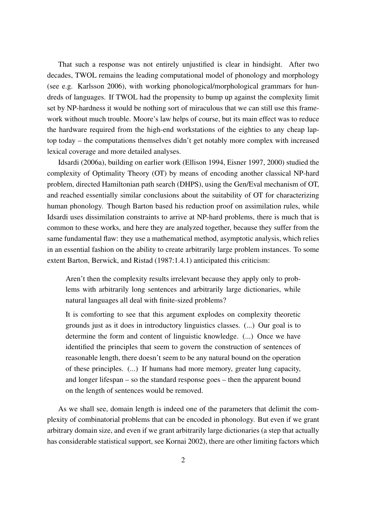That such a response was not entirely unjustified is clear in hindsight. After two decades, TWOL remains the leading computational model of phonology and morphology (see e.g. Karlsson 2006), with working phonological/morphological grammars for hundreds of languages. If TWOL had the propensity to bump up against the complexity limit set by NP-hardness it would be nothing sort of miraculous that we can still use this framework without much trouble. Moore's law helps of course, but its main effect was to reduce the hardware required from the high-end workstations of the eighties to any cheap laptop today – the computations themselves didn't get notably more complex with increased lexical coverage and more detailed analyses.

Idsardi (2006a), building on earlier work (Ellison 1994, Eisner 1997, 2000) studied the complexity of Optimality Theory (OT) by means of encoding another classical NP-hard problem, directed Hamiltonian path search (DHPS), using the Gen/Eval mechanism of OT, and reached essentially similar conclusions about the suitability of OT for characterizing human phonology. Though Barton based his reduction proof on assimilation rules, while Idsardi uses dissimilation constraints to arrive at NP-hard problems, there is much that is common to these works, and here they are analyzed together, because they suffer from the same fundamental flaw: they use a mathematical method, asymptotic analysis, which relies in an essential fashion on the ability to create arbitrarily large problem instances. To some extent Barton, Berwick, and Ristad (1987:1.4.1) anticipated this criticism:

Aren't then the complexity results irrelevant because they apply only to problems with arbitrarily long sentences and arbitrarily large dictionaries, while natural languages all deal with finite-sized problems?

It is comforting to see that this argument explodes on complexity theoretic grounds just as it does in introductory linguistics classes. (...) Our goal is to determine the form and content of linguistic knowledge. (...) Once we have identified the principles that seem to govern the construction of sentences of reasonable length, there doesn't seem to be any natural bound on the operation of these principles. (...) If humans had more memory, greater lung capacity, and longer lifespan – so the standard response goes – then the apparent bound on the length of sentences would be removed.

As we shall see, domain length is indeed one of the parameters that delimit the complexity of combinatorial problems that can be encoded in phonology. But even if we grant arbitrary domain size, and even if we grant arbitrarily large dictionaries (a step that actually has considerable statistical support, see Kornai 2002), there are other limiting factors which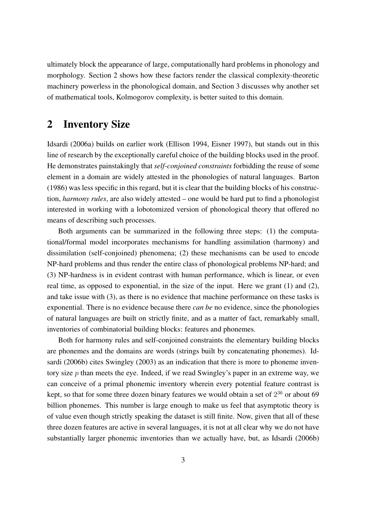ultimately block the appearance of large, computationally hard problems in phonology and morphology. Section 2 shows how these factors render the classical complexity-theoretic machinery powerless in the phonological domain, and Section 3 discusses why another set of mathematical tools, Kolmogorov complexity, is better suited to this domain.

#### 2 Inventory Size

Idsardi (2006a) builds on earlier work (Ellison 1994, Eisner 1997), but stands out in this line of research by the exceptionally careful choice of the building blocks used in the proof. He demonstrates painstakingly that *self-conjoined constraints* forbidding the reuse of some element in a domain are widely attested in the phonologies of natural languages. Barton (1986) was less specific in this regard, but it is clear that the building blocks of his construction, *harmony rules*, are also widely attested – one would be hard put to find a phonologist interested in working with a lobotomized version of phonological theory that offered no means of describing such processes.

Both arguments can be summarized in the following three steps: (1) the computational/formal model incorporates mechanisms for handling assimilation (harmony) and dissimilation (self-conjoined) phenomena; (2) these mechanisms can be used to encode NP-hard problems and thus render the entire class of phonological problems NP-hard; and (3) NP-hardness is in evident contrast with human performance, which is linear, or even real time, as opposed to exponential, in the size of the input. Here we grant  $(1)$  and  $(2)$ , and take issue with (3), as there is no evidence that machine performance on these tasks is exponential. There is no evidence because there *can be* no evidence, since the phonologies of natural languages are built on strictly finite, and as a matter of fact, remarkably small, inventories of combinatorial building blocks: features and phonemes.

Both for harmony rules and self-conjoined constraints the elementary building blocks are phonemes and the domains are words (strings built by concatenating phonemes). Idsardi (2006b) cites Swingley (2003) as an indication that there is more to phoneme inventory size  $p$  than meets the eye. Indeed, if we read Swingley's paper in an extreme way, we can conceive of a primal phonemic inventory wherein every potential feature contrast is kept, so that for some three dozen binary features we would obtain a set of  $2^{36}$  or about 69 billion phonemes. This number is large enough to make us feel that asymptotic theory is of value even though strictly speaking the dataset is still finite. Now, given that all of these three dozen features are active in several languages, it is not at all clear why we do not have substantially larger phonemic inventories than we actually have, but, as Idsardi (2006b)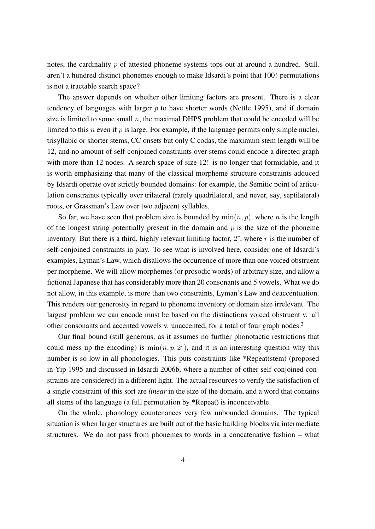notes, the cardinality p of attested phoneme systems tops out at around a hundred. Still, aren't a hundred distinct phonemes enough to make Idsardi's point that 100! permutations is not a tractable search space?

The answer depends on whether other limiting factors are present. There is a clear tendency of languages with larger  $p$  to have shorter words (Nettle 1995), and if domain size is limited to some small  $n$ , the maximal DHPS problem that could be encoded will be limited to this n even if p is large. For example, if the language permits only simple nuclei, trisyllabic or shorter stems, CC onsets but only C codas, the maximum stem length will be 12, and no amount of self-conjoined constraints over stems could encode a directed graph with more than 12 nodes. A search space of size 12! is no longer that formidable, and it is worth emphasizing that many of the classical morpheme structure constraints adduced by Idsardi operate over strictly bounded domains: for example, the Semitic point of articulation constraints typically over trilateral (rarely quadrilateral, and never, say, septilateral) roots, or Grassman's Law over two adjacent syllables.

So far, we have seen that problem size is bounded by  $\min(n, p)$ , where n is the length of the longest string potentially present in the domain and  $p$  is the size of the phoneme inventory. But there is a third, highly relevant limiting factor,  $2<sup>r</sup>$ , where r is the number of self-conjoined constraints in play. To see what is involved here, consider one of Idsardi's examples, Lyman's Law, which disallows the occurrence of more than one voiced obstruent per morpheme. We will allow morphemes (or prosodic words) of arbitrary size, and allow a fictional Japanese that has considerably more than 20 consonants and 5 vowels. What we do not allow, in this example, is more than two constraints, Lyman's Law and deaccentuation. This renders our generosity in regard to phoneme inventory or domain size irrelevant. The largest problem we can encode must be based on the distinctions voiced obstruent v. all other consonants and accented vowels v. unaccented, for a total of four graph nodes.<sup>2</sup>

Our final bound (still generous, as it assumes no further phonotactic restrictions that could mess up the encoding) is  $\min(n, p, 2^r)$ , and it is an interesting question why this number is so low in all phonologies. This puts constraints like \*Repeat(stem) (proposed in Yip 1995 and discussed in Idsardi 2006b, where a number of other self-conjoined constraints are considered) in a different light. The actual resources to verify the satisfaction of a single constraint of this sort are *linear* in the size of the domain, and a word that contains all stems of the language (a full permutation by \*Repeat) is inconceivable.

On the whole, phonology countenances very few unbounded domains. The typical situation is when larger structures are built out of the basic building blocks via intermediate structures. We do not pass from phonemes to words in a concatenative fashion – what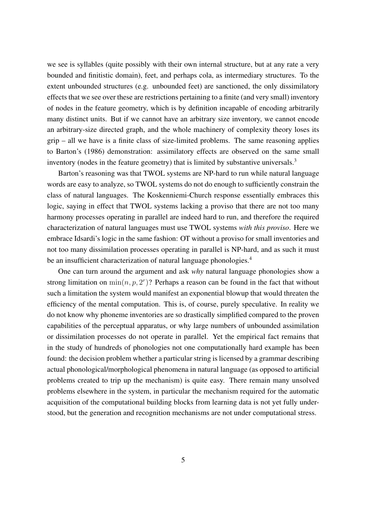we see is syllables (quite possibly with their own internal structure, but at any rate a very bounded and finitistic domain), feet, and perhaps cola, as intermediary structures. To the extent unbounded structures (e.g. unbounded feet) are sanctioned, the only dissimilatory effects that we see over these are restrictions pertaining to a finite (and very small) inventory of nodes in the feature geometry, which is by definition incapable of encoding arbitrarily many distinct units. But if we cannot have an arbitrary size inventory, we cannot encode an arbitrary-size directed graph, and the whole machinery of complexity theory loses its grip – all we have is a finite class of size-limited problems. The same reasoning applies to Barton's (1986) demonstration: assimilatory effects are observed on the same small inventory (nodes in the feature geometry) that is limited by substantive universals.<sup>3</sup>

Barton's reasoning was that TWOL systems are NP-hard to run while natural language words are easy to analyze, so TWOL systems do not do enough to sufficiently constrain the class of natural languages. The Koskenniemi-Church response essentially embraces this logic, saying in effect that TWOL systems lacking a proviso that there are not too many harmony processes operating in parallel are indeed hard to run, and therefore the required characterization of natural languages must use TWOL systems *with this proviso*. Here we embrace Idsardi's logic in the same fashion: OT without a proviso for small inventories and not too many dissimilation processes operating in parallel is NP-hard, and as such it must be an insufficient characterization of natural language phonologies.<sup>4</sup>

One can turn around the argument and ask *why* natural language phonologies show a strong limitation on  $\min(n, p, 2<sup>r</sup>)$ ? Perhaps a reason can be found in the fact that without such a limitation the system would manifest an exponential blowup that would threaten the efficiency of the mental computation. This is, of course, purely speculative. In reality we do not know why phoneme inventories are so drastically simplified compared to the proven capabilities of the perceptual apparatus, or why large numbers of unbounded assimilation or dissimilation processes do not operate in parallel. Yet the empirical fact remains that in the study of hundreds of phonologies not one computationally hard example has been found: the decision problem whether a particular string is licensed by a grammar describing actual phonological/morphological phenomena in natural language (as opposed to artificial problems created to trip up the mechanism) is quite easy. There remain many unsolved problems elsewhere in the system, in particular the mechanism required for the automatic acquisition of the computational building blocks from learning data is not yet fully understood, but the generation and recognition mechanisms are not under computational stress.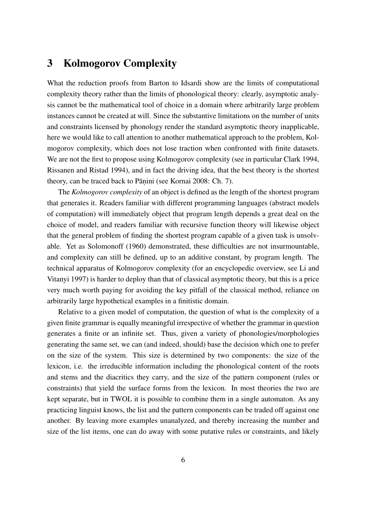## 3 Kolmogorov Complexity

What the reduction proofs from Barton to Idsardi show are the limits of computational complexity theory rather than the limits of phonological theory: clearly, asymptotic analysis cannot be the mathematical tool of choice in a domain where arbitrarily large problem instances cannot be created at will. Since the substantive limitations on the number of units and constraints licensed by phonology render the standard asymptotic theory inapplicable, here we would like to call attention to another mathematical approach to the problem, Kolmogorov complexity, which does not lose traction when confronted with finite datasets. We are not the first to propose using Kolmogorov complexity (see in particular Clark 1994, Rissanen and Ristad 1994), and in fact the driving idea, that the best theory is the shortest theory, can be traced back to Pāṇini (see Kornai 2008: Ch. 7).

The *Kolmogorov complexity* of an object is defined as the length of the shortest program that generates it. Readers familiar with different programming languages (abstract models of computation) will immediately object that program length depends a great deal on the choice of model, and readers familiar with recursive function theory will likewise object that the general problem of finding the shortest program capable of a given task is unsolvable. Yet as Solomonoff (1960) demonstrated, these difficulties are not insurmountable, and complexity can still be defined, up to an additive constant, by program length. The technical apparatus of Kolmogorov complexity (for an encyclopedic overview, see Li and Vitanyi 1997) is harder to deploy than that of classical asymptotic theory, but this is a price very much worth paying for avoiding the key pitfall of the classical method, reliance on arbitrarily large hypothetical examples in a finitistic domain.

Relative to a given model of computation, the question of what is the complexity of a given finite grammar is equally meaningful irrespective of whether the grammar in question generates a finite or an infinite set. Thus, given a variety of phonologies/morphologies generating the same set, we can (and indeed, should) base the decision which one to prefer on the size of the system. This size is determined by two components: the size of the lexicon, i.e. the irreducible information including the phonological content of the roots and stems and the diacritics they carry, and the size of the pattern component (rules or constraints) that yield the surface forms from the lexicon. In most theories the two are kept separate, but in TWOL it is possible to combine them in a single automaton. As any practicing linguist knows, the list and the pattern components can be traded off against one another. By leaving more examples unanalyzed, and thereby increasing the number and size of the list items, one can do away with some putative rules or constraints, and likely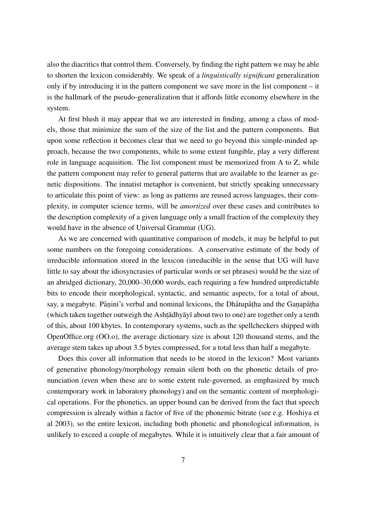also the diacritics that control them. Conversely, by finding the right pattern we may be able to shorten the lexicon considerably. We speak of a *linguistically significant* generalization only if by introducing it in the pattern component we save more in the list component – it is the hallmark of the pseudo-generalization that it affords little economy elsewhere in the system.

At first blush it may appear that we are interested in finding, among a class of models, those that minimize the sum of the size of the list and the pattern components. But upon some reflection it becomes clear that we need to go beyond this simple-minded approach, because the two components, while to some extent fungible, play a very different role in language acquisition. The list component must be memorized from A to Z, while the pattern component may refer to general patterns that are available to the learner as genetic dispositions. The innatist metaphor is convenient, but strictly speaking unnecessary to articulate this point of view: as long as patterns are reused across languages, their complexity, in computer science terms, will be *amortized* over these cases and contributes to the description complexity of a given language only a small fraction of the complexity they would have in the absence of Universal Grammar (UG).

As we are concerned with quantitative comparison of models, it may be helpful to put some numbers on the foregoing considerations. A conservative estimate of the body of irreducible information stored in the lexicon (irreducible in the sense that UG will have little to say about the idiosyncrasies of particular words or set phrases) would be the size of an abridged dictionary, 20,000–30,000 words, each requiring a few hundred unpredictable bits to encode their morphological, syntactic, and semantic aspects, for a total of about, say, a megabyte. Pāṇini's verbal and nominal lexicons, the Dhātupāṭha and the Gaṇapāṭha (which taken together outweigh the Ashṭādhyāyī about two to one) are together only a tenth of this, about 100 kbytes. In contemporary systems, such as the spellcheckers shipped with OpenOffice.org (OO.o), the average dictionary size is about 120 thousand stems, and the average stem takes up about 3.5 bytes compressed, for a total less than half a megabyte.

Does this cover all information that needs to be stored in the lexicon? Most variants of generative phonology/morphology remain silent both on the phonetic details of pronunciation (even when these are to some extent rule-governed, as emphasized by much contemporary work in laboratory phonology) and on the semantic content of morphological operations. For the phonetics, an upper bound can be derived from the fact that speech compression is already within a factor of five of the phonemic bitrate (see e.g. Hoshiya et al 2003), so the entire lexicon, including both phonetic and phonological information, is unlikely to exceed a couple of megabytes. While it is intuitively clear that a fair amount of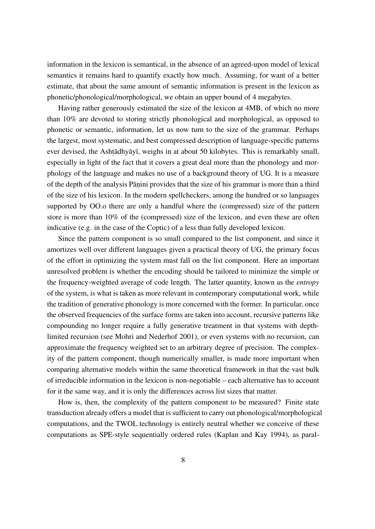information in the lexicon is semantical, in the absence of an agreed-upon model of lexical semantics it remains hard to quantify exactly how much. Assuming, for want of a better estimate, that about the same amount of semantic information is present in the lexicon as phonetic/phonological/morphological, we obtain an upper bound of 4 megabytes.

Having rather generously estimated the size of the lexicon at 4MB, of which no more than 10% are devoted to storing strictly phonological and morphological, as opposed to phonetic or semantic, information, let us now turn to the size of the grammar. Perhaps the largest, most systematic, and best compressed description of language-specific patterns ever devised, the Ashtādhyāyī, weighs in at about 50 kilobytes. This is remarkably small, especially in light of the fact that it covers a great deal more than the phonology and morphology of the language and makes no use of a background theory of UG. It is a measure of the depth of the analysis Pāṇini provides that the size of his grammar is more than a third of the size of his lexicon. In the modern spellcheckers, among the hundred or so languages supported by OO.o there are only a handful where the (compressed) size of the pattern store is more than 10% of the (compressed) size of the lexicon, and even these are often indicative (e.g. in the case of the Coptic) of a less than fully developed lexicon.

Since the pattern component is so small compared to the list component, and since it amortizes well over different languages given a practical theory of UG, the primary focus of the effort in optimizing the system must fall on the list component. Here an important unresolved problem is whether the encoding should be tailored to minimize the simple or the frequency-weighted average of code length. The latter quantity, known as the *entropy* of the system, is what is taken as more relevant in contemporary computational work, while the tradition of generative phonology is more concerned with the former. In particular, once the observed frequencies of the surface forms are taken into account, recursive patterns like compounding no longer require a fully generative treatment in that systems with depthlimited recursion (see Mohri and Nederhof 2001), or even systems with no recursion, can approximate the frequency weighted set to an arbitrary degree of precision. The complexity of the pattern component, though numerically smaller, is made more important when comparing alternative models within the same theoretical framework in that the vast bulk of irreducible information in the lexicon is non-negotiable – each alternative has to account for it the same way, and it is only the differences across list sizes that matter.

How is, then, the complexity of the pattern component to be measured? Finite state transduction already offers a model that is sufficient to carry out phonological/morphological computations, and the TWOL technology is entirely neutral whether we conceive of these computations as SPE-style sequentially ordered rules (Kaplan and Kay 1994), as paral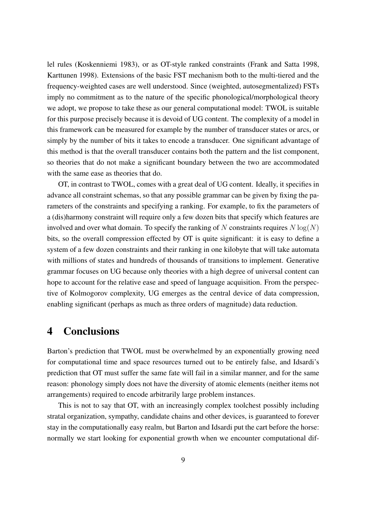lel rules (Koskenniemi 1983), or as OT-style ranked constraints (Frank and Satta 1998, Karttunen 1998). Extensions of the basic FST mechanism both to the multi-tiered and the frequency-weighted cases are well understood. Since (weighted, autosegmentalized) FSTs imply no commitment as to the nature of the specific phonological/morphological theory we adopt, we propose to take these as our general computational model: TWOL is suitable for this purpose precisely because it is devoid of UG content. The complexity of a model in this framework can be measured for example by the number of transducer states or arcs, or simply by the number of bits it takes to encode a transducer. One significant advantage of this method is that the overall transducer contains both the pattern and the list component, so theories that do not make a significant boundary between the two are accommodated with the same ease as theories that do.

OT, in contrast to TWOL, comes with a great deal of UG content. Ideally, it specifies in advance all constraint schemas, so that any possible grammar can be given by fixing the parameters of the constraints and specifying a ranking. For example, to fix the parameters of a (dis)harmony constraint will require only a few dozen bits that specify which features are involved and over what domain. To specify the ranking of N constraints requires  $N \log(N)$ bits, so the overall compression effected by OT is quite significant: it is easy to define a system of a few dozen constraints and their ranking in one kilobyte that will take automata with millions of states and hundreds of thousands of transitions to implement. Generative grammar focuses on UG because only theories with a high degree of universal content can hope to account for the relative ease and speed of language acquisition. From the perspective of Kolmogorov complexity, UG emerges as the central device of data compression, enabling significant (perhaps as much as three orders of magnitude) data reduction.

#### 4 Conclusions

Barton's prediction that TWOL must be overwhelmed by an exponentially growing need for computational time and space resources turned out to be entirely false, and Idsardi's prediction that OT must suffer the same fate will fail in a similar manner, and for the same reason: phonology simply does not have the diversity of atomic elements (neither items not arrangements) required to encode arbitrarily large problem instances.

This is not to say that OT, with an increasingly complex toolchest possibly including stratal organization, sympathy, candidate chains and other devices, is guaranteed to forever stay in the computationally easy realm, but Barton and Idsardi put the cart before the horse: normally we start looking for exponential growth when we encounter computational dif-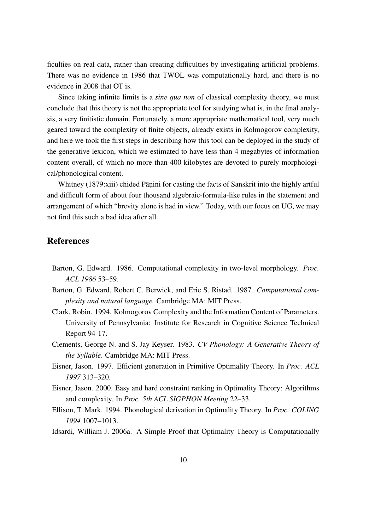ficulties on real data, rather than creating difficulties by investigating artificial problems. There was no evidence in 1986 that TWOL was computationally hard, and there is no evidence in 2008 that OT is.

Since taking infinite limits is a *sine qua non* of classical complexity theory, we must conclude that this theory is not the appropriate tool for studying what is, in the final analysis, a very finitistic domain. Fortunately, a more appropriate mathematical tool, very much geared toward the complexity of finite objects, already exists in Kolmogorov complexity, and here we took the first steps in describing how this tool can be deployed in the study of the generative lexicon, which we estimated to have less than 4 megabytes of information content overall, of which no more than 400 kilobytes are devoted to purely morphological/phonological content.

Whitney (1879:xiii) chided Pāṇini for casting the facts of Sanskrit into the highly artful and difficult form of about four thousand algebraic-formula-like rules in the statement and arrangement of which "brevity alone is had in view." Today, with our focus on UG, we may not find this such a bad idea after all.

#### References

- Barton, G. Edward. 1986. Computational complexity in two-level morphology. *Proc. ACL 1986* 53–59.
- Barton, G. Edward, Robert C. Berwick, and Eric S. Ristad. 1987. *Computational complexity and natural language.* Cambridge MA: MIT Press.
- Clark, Robin. 1994. Kolmogorov Complexity and the Information Content of Parameters. University of Pennsylvania: Institute for Research in Cognitive Science Technical Report 94-17.
- Clements, George N. and S. Jay Keyser. 1983. *CV Phonology: A Generative Theory of the Syllable*. Cambridge MA: MIT Press.
- Eisner, Jason. 1997. Efficient generation in Primitive Optimality Theory. In *Proc. ACL 1997* 313–320.
- Eisner, Jason. 2000. Easy and hard constraint ranking in Optimality Theory: Algorithms and complexity. In *Proc. 5th ACL SIGPHON Meeting* 22–33.
- Ellison, T. Mark. 1994. Phonological derivation in Optimality Theory. In *Proc. COLING 1994* 1007–1013.
- Idsardi, William J. 2006a. A Simple Proof that Optimality Theory is Computationally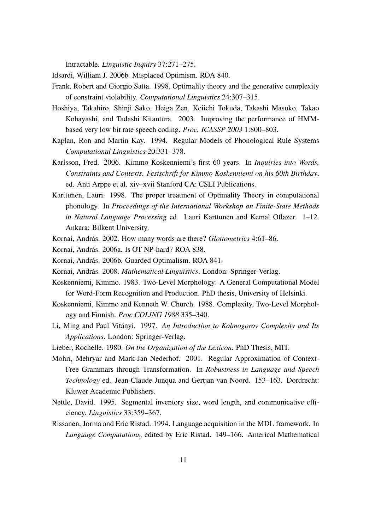Intractable. *Linguistic Inquiry* 37:271–275.

Idsardi, William J. 2006b. Misplaced Optimism. ROA 840.

- Frank, Robert and Giorgio Satta. 1998, Optimality theory and the generative complexity of constraint violability. *Computational Linguistics* 24:307–315.
- Hoshiya, Takahiro, Shinji Sako, Heiga Zen, Keiichi Tokuda, Takashi Masuko, Takao Kobayashi, and Tadashi Kitantura. 2003. Improving the performance of HMMbased very low bit rate speech coding. *Proc. ICASSP 2003* 1:800–803.
- Kaplan, Ron and Martin Kay. 1994. Regular Models of Phonological Rule Systems *Computational Linguistics* 20:331–378.
- Karlsson, Fred. 2006. Kimmo Koskenniemi's first 60 years. In *Inquiries into Words, Constraints and Contexts. Festschrift for Kimmo Koskenniemi on his 60th Birthday*, ed. Anti Arppe et al. xiv–xvii Stanford CA: CSLI Publications.
- Karttunen, Lauri. 1998. The proper treatment of Optimality Theory in computational phonology. In *Proceedings of the International Workshop on Finite-State Methods in Natural Language Processing* ed. Lauri Karttunen and Kemal Oflazer. 1–12. Ankara: Bilkent University.
- Kornai, András. 2002. How many words are there? *Glottometrics* 4:61–86.
- Kornai, András. 2006a. Is OT NP-hard? ROA 838.
- Kornai, András. 2006b. Guarded Optimalism. ROA 841.
- Kornai, András. 2008. Mathematical Linguistics. London: Springer-Verlag.
- Koskenniemi, Kimmo. 1983. Two-Level Morphology: A General Computational Model for Word-Form Recognition and Production. PhD thesis, University of Helsinki.
- Koskenniemi, Kimmo and Kenneth W. Church. 1988. Complexity, Two-Level Morphology and Finnish. *Proc COLING 1988* 335–340.
- Li, Ming and Paul Vitányi. 1997. An Introduction to Kolmogorov Complexity and Its *Applications*. London: Springer-Verlag.
- Lieber, Rochelle. 1980. *On the Organization of the Lexicon*. PhD Thesis, MIT.
- Mohri, Mehryar and Mark-Jan Nederhof. 2001. Regular Approximation of Context-Free Grammars through Transformation. In *Robustness in Language and Speech Technology* ed. Jean-Claude Junqua and Gertjan van Noord. 153–163. Dordrecht: Kluwer Academic Publishers.
- Nettle, David. 1995. Segmental inventory size, word length, and communicative efficiency. *Linguistics* 33:359–367.
- Rissanen, Jorma and Eric Ristad. 1994. Language acquisition in the MDL framework. In *Language Computations*, edited by Eric Ristad. 149–166. Americal Mathematical